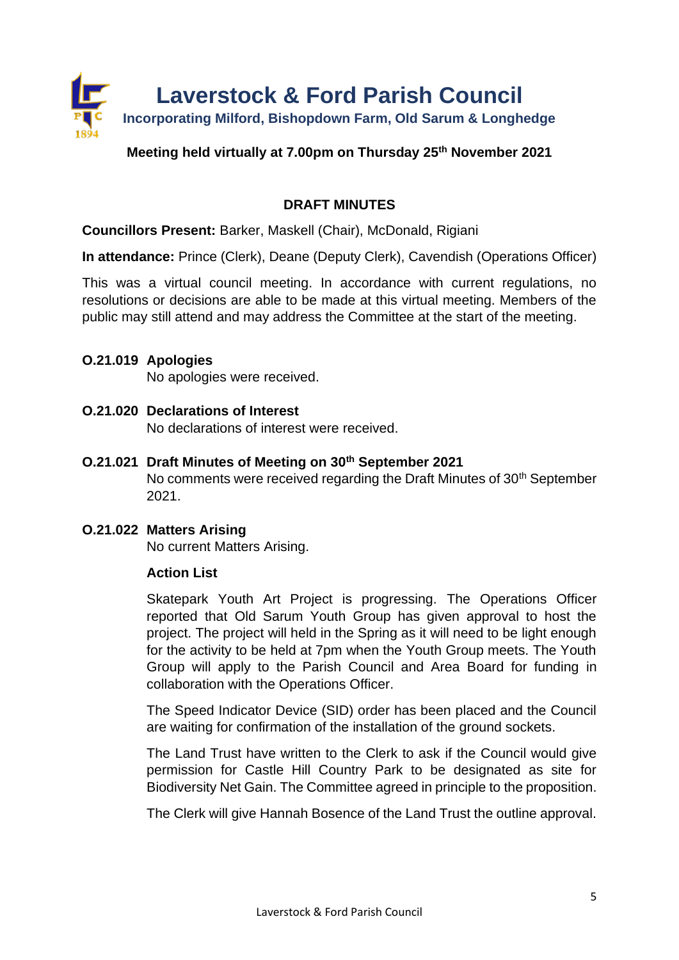

# **Meeting held virtually at 7.00pm on Thursday 25th November 2021**

# **DRAFT MINUTES**

**Councillors Present:** Barker, Maskell (Chair), McDonald, Rigiani

**In attendance:** Prince (Clerk), Deane (Deputy Clerk), Cavendish (Operations Officer)

This was a virtual council meeting. In accordance with current regulations, no resolutions or decisions are able to be made at this virtual meeting. Members of the public may still attend and may address the Committee at the start of the meeting.

#### **O.21.019 Apologies**

No apologies were received.

- **O.21.020 Declarations of Interest** No declarations of interest were received.
- **O.21.021 Draft Minutes of Meeting on 30th September 2021** No comments were received regarding the Draft Minutes of 30<sup>th</sup> September 2021.

# **O.21.022 Matters Arising**

No current Matters Arising.

# **Action List**

Skatepark Youth Art Project is progressing. The Operations Officer reported that Old Sarum Youth Group has given approval to host the project. The project will held in the Spring as it will need to be light enough for the activity to be held at 7pm when the Youth Group meets. The Youth Group will apply to the Parish Council and Area Board for funding in collaboration with the Operations Officer.

The Speed Indicator Device (SID) order has been placed and the Council are waiting for confirmation of the installation of the ground sockets.

The Land Trust have written to the Clerk to ask if the Council would give permission for Castle Hill Country Park to be designated as site for Biodiversity Net Gain. The Committee agreed in principle to the proposition.

The Clerk will give Hannah Bosence of the Land Trust the outline approval.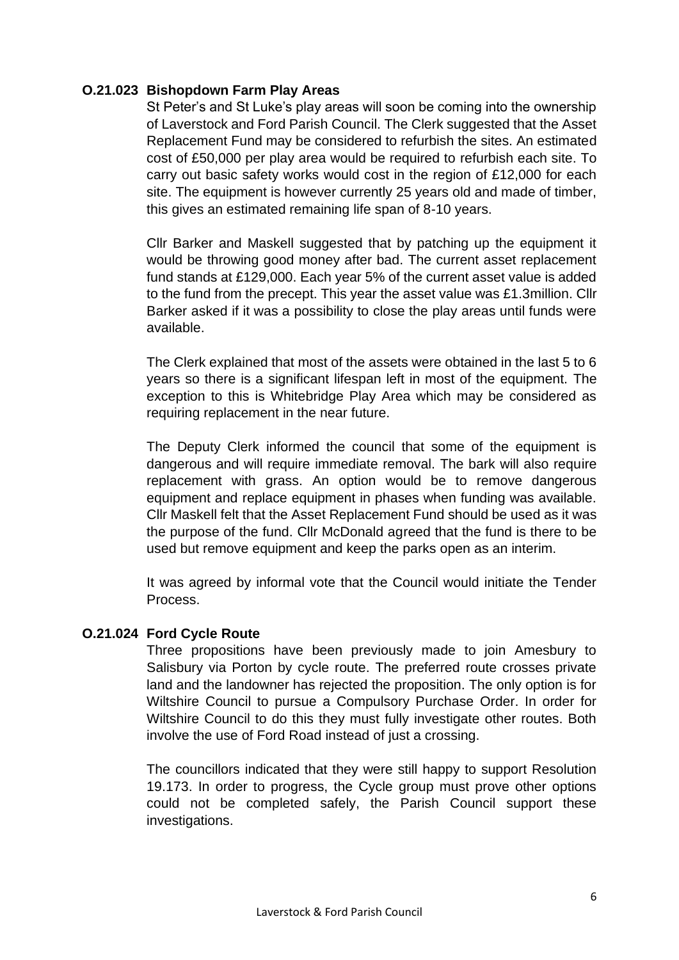# **O.21.023 Bishopdown Farm Play Areas**

St Peter's and St Luke's play areas will soon be coming into the ownership of Laverstock and Ford Parish Council. The Clerk suggested that the Asset Replacement Fund may be considered to refurbish the sites. An estimated cost of £50,000 per play area would be required to refurbish each site. To carry out basic safety works would cost in the region of £12,000 for each site. The equipment is however currently 25 years old and made of timber, this gives an estimated remaining life span of 8-10 years.

Cllr Barker and Maskell suggested that by patching up the equipment it would be throwing good money after bad. The current asset replacement fund stands at £129,000. Each year 5% of the current asset value is added to the fund from the precept. This year the asset value was £1.3million. Cllr Barker asked if it was a possibility to close the play areas until funds were available.

The Clerk explained that most of the assets were obtained in the last 5 to 6 years so there is a significant lifespan left in most of the equipment. The exception to this is Whitebridge Play Area which may be considered as requiring replacement in the near future.

The Deputy Clerk informed the council that some of the equipment is dangerous and will require immediate removal. The bark will also require replacement with grass. An option would be to remove dangerous equipment and replace equipment in phases when funding was available. Cllr Maskell felt that the Asset Replacement Fund should be used as it was the purpose of the fund. Cllr McDonald agreed that the fund is there to be used but remove equipment and keep the parks open as an interim.

It was agreed by informal vote that the Council would initiate the Tender Process.

# **O.21.024 Ford Cycle Route**

Three propositions have been previously made to join Amesbury to Salisbury via Porton by cycle route. The preferred route crosses private land and the landowner has rejected the proposition. The only option is for Wiltshire Council to pursue a Compulsory Purchase Order. In order for Wiltshire Council to do this they must fully investigate other routes. Both involve the use of Ford Road instead of just a crossing.

The councillors indicated that they were still happy to support Resolution 19.173. In order to progress, the Cycle group must prove other options could not be completed safely, the Parish Council support these investigations.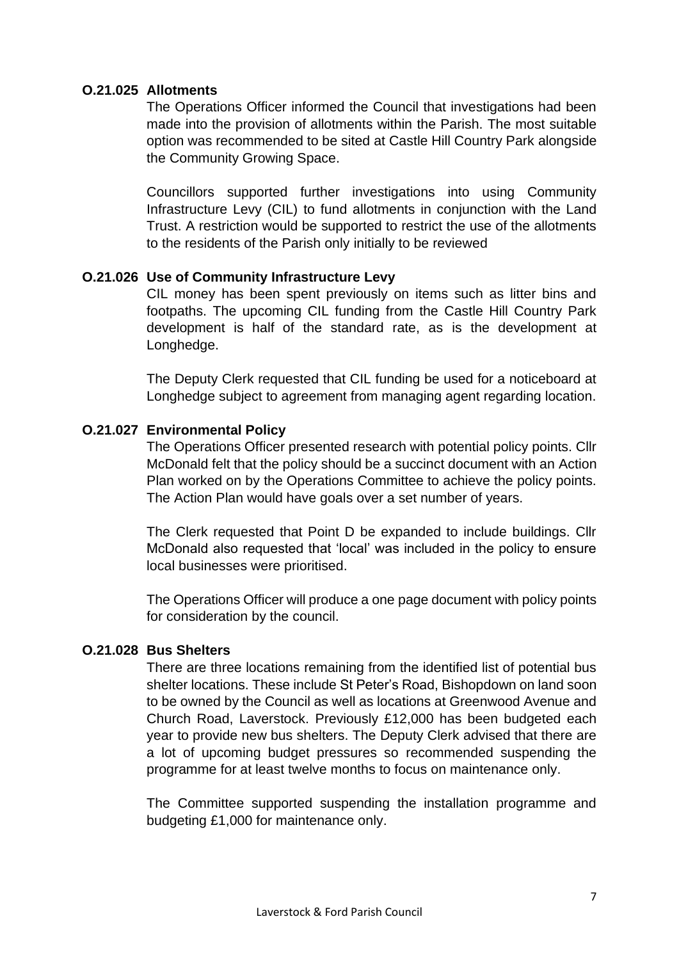# **O.21.025 Allotments**

The Operations Officer informed the Council that investigations had been made into the provision of allotments within the Parish. The most suitable option was recommended to be sited at Castle Hill Country Park alongside the Community Growing Space.

Councillors supported further investigations into using Community Infrastructure Levy (CIL) to fund allotments in conjunction with the Land Trust. A restriction would be supported to restrict the use of the allotments to the residents of the Parish only initially to be reviewed

# **O.21.026 Use of Community Infrastructure Levy**

CIL money has been spent previously on items such as litter bins and footpaths. The upcoming CIL funding from the Castle Hill Country Park development is half of the standard rate, as is the development at Longhedge.

The Deputy Clerk requested that CIL funding be used for a noticeboard at Longhedge subject to agreement from managing agent regarding location.

# **O.21.027 Environmental Policy**

The Operations Officer presented research with potential policy points. Cllr McDonald felt that the policy should be a succinct document with an Action Plan worked on by the Operations Committee to achieve the policy points. The Action Plan would have goals over a set number of years.

The Clerk requested that Point D be expanded to include buildings. Cllr McDonald also requested that 'local' was included in the policy to ensure local businesses were prioritised.

The Operations Officer will produce a one page document with policy points for consideration by the council.

# **O.21.028 Bus Shelters**

There are three locations remaining from the identified list of potential bus shelter locations. These include St Peter's Road, Bishopdown on land soon to be owned by the Council as well as locations at Greenwood Avenue and Church Road, Laverstock. Previously £12,000 has been budgeted each year to provide new bus shelters. The Deputy Clerk advised that there are a lot of upcoming budget pressures so recommended suspending the programme for at least twelve months to focus on maintenance only.

The Committee supported suspending the installation programme and budgeting £1,000 for maintenance only.